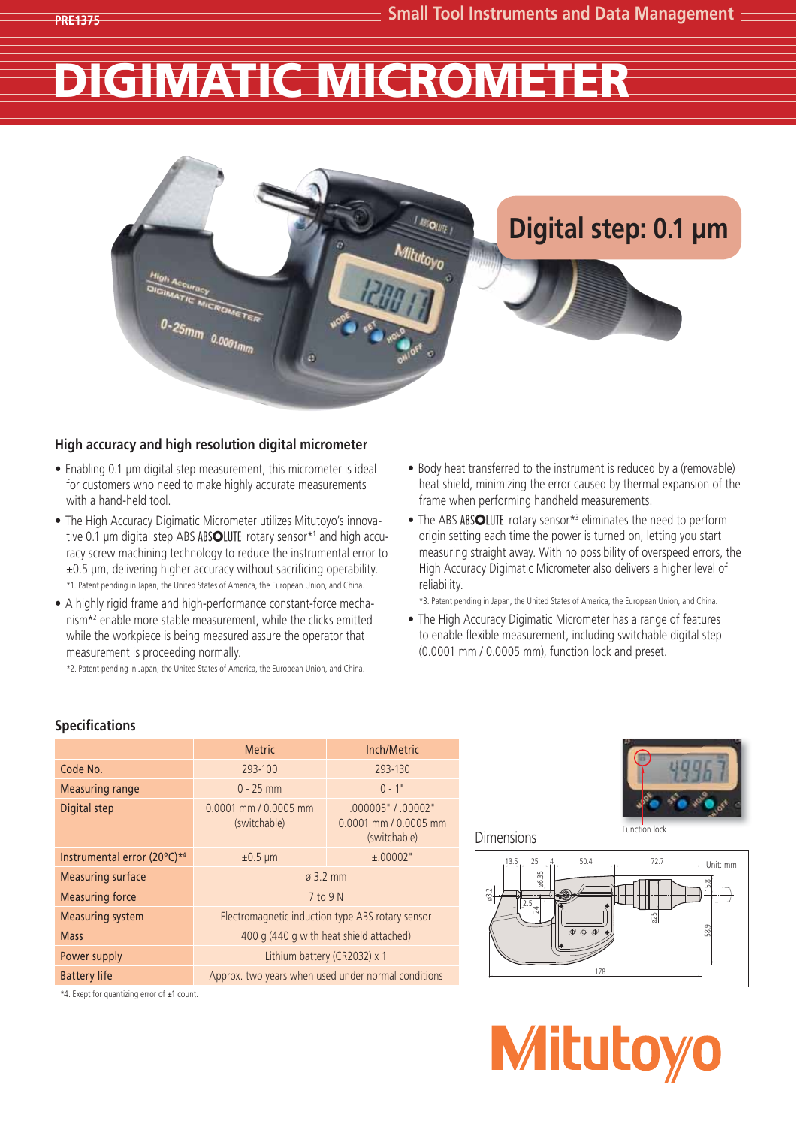# DIGIMATIC MICROMETER



## **High accuracy and high resolution digital micrometer**

- Enabling 0.1 μm digital step measurement, this micrometer is ideal for customers who need to make highly accurate measurements with a hand-held tool.
- The High Accuracy Digimatic Micrometer utilizes Mitutoyo's innovative 0.1 μm digital step ABS ABSOLUTE rotary sensor\*<sup>1</sup> and high accuracy screw machining technology to reduce the instrumental error to  $\pm 0.5$  µm, delivering higher accuracy without sacrificing operability. \*1. Patent pending in Japan, the United States of America, the European Union, and China.
- A highly rigid frame and high-performance constant-force mechanism\*2 enable more stable measurement, while the clicks emitted while the workpiece is being measured assure the operator that measurement is proceeding normally.

\*2. Patent pending in Japan, the United States of America, the European Union, and China.

- Body heat transferred to the instrument is reduced by a (removable) heat shield, minimizing the error caused by thermal expansion of the frame when performing handheld measurements.
- The ABS ABSOLUTE rotary sensor\*<sup>3</sup> eliminates the need to perform origin setting each time the power is turned on, letting you start measuring straight away. With no possibility of overspeed errors, the High Accuracy Digimatic Micrometer also delivers a higher level of reliability.

\*3. Patent pending in Japan, the United States of America, the European Union, and China.

• The High Accuracy Digimatic Micrometer has a range of features to enable flexible measurement, including switchable digital step (0.0001 mm / 0.0005 mm), function lock and preset.

## **Specifications**

|                             | <b>Metric</b>                                       | Inch/Metric                                                     |
|-----------------------------|-----------------------------------------------------|-----------------------------------------------------------------|
| Code No.                    | 293-100                                             | 293-130                                                         |
| Measuring range             | $0 - 25$ mm                                         | $0 - 1"$                                                        |
| Digital step                | $0.0001$ mm $/ 0.0005$ mm<br>(switchable)           | .000005" / .00002"<br>$0.0001$ mm $/ 0.0005$ mm<br>(switchable) |
| Instrumental error (20°C)*4 | $±0.5 \mu m$                                        | ±.00002"                                                        |
| <b>Measuring surface</b>    | $\alpha$ 3.2 mm                                     |                                                                 |
| <b>Measuring force</b>      | 7 to 9 N                                            |                                                                 |
| <b>Measuring system</b>     | Electromagnetic induction type ABS rotary sensor    |                                                                 |
| <b>Mass</b>                 | 400 g (440 g with heat shield attached)             |                                                                 |
| Power supply                | Lithium battery (CR2032) x 1                        |                                                                 |
| <b>Battery life</b>         | Approx. two years when used under normal conditions |                                                                 |



### Dimensions





\*4. Exept for quantizing error of ±1 count.